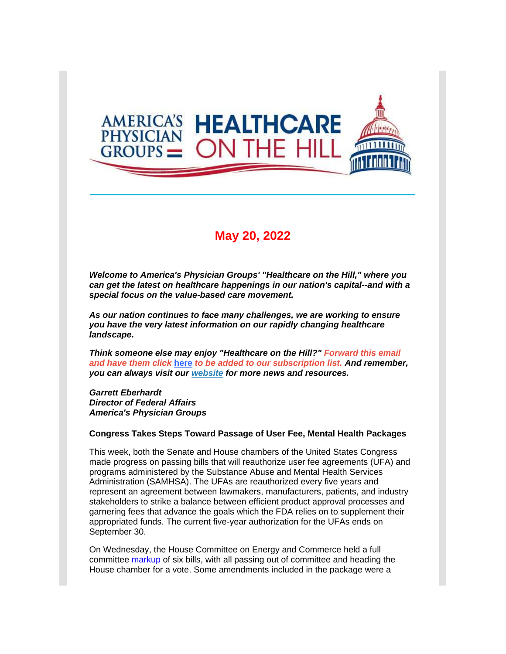

### **May 20, 2022**

*Welcome to America's Physician Groups' "Healthcare on the Hill," where you can get the latest on healthcare happenings in our nation's capital--and with a special focus on the value-based care movement.*

*As our nation continues to face many challenges, we are working to ensure you have the very latest information on our rapidly changing healthcare landscape.*

*Think someone else may enjoy "Healthcare on the Hill?" Forward this email and have them click* **[here](http://link.apg.org/c/7/eyJhaSI6Njk4MDUxNDQsImUiOiJncGhpbGxpcHNAYXBnLm9yZyIsInJpIjoiY29udGFjdC03YWMxOTAzZjFkYzVlYTExYTgxMjAwMGQzYTVhMTdlMy1kMDI1ZmZiZDUxOWY0NDI3Yjg1YWNjZTllYWEzMDIwZSIsInJxIjoiMDItYjIyMTQwLTg3NDAwMjg1ZmJkNDRlZWNhYmZhNDIyYmYzMjI3YzQzIiwicGgiOm51bGwsIm0iOmZhbHNlLCJ1aSI6IjAiLCJ1biI6IiIsInUiOiJodHRwOi8vd2ViLmFwZy5vcmcvY24vYWVkbHcvc3Vic2NyaWJlP19jbGRlZT1QdFlyRm5iSHo5dWxlX1N6N2tUa1oxY24wd2puMmdLbjJxQmotT1pYckNvd0xBSjlDdjJ5bzg1S2xRTkc1Y0dnJnJlY2lwaWVudGlkPWNvbnRhY3QtN2FjMTkwM2YxZGM1ZWExMWE4MTIwMDBkM2E1YTE3ZTMtZDAyNWZmYmQ1MTlmNDQyN2I4NWFjY2U5ZWFhMzAyMGUmZXNpZD03YzdlNjExMC00ZGQ4LWVjMTEtYTdiNS0wMDIyNDgwNGQ3ZDYifQ/uO8wWTdDdrMLtUudNbRhsQ)** *to be added to our subscription list. And remember, you can always visit our [website](http://link.apg.org/c/7/eyJhaSI6Njk4MDUxNDQsImUiOiJncGhpbGxpcHNAYXBnLm9yZyIsInJpIjoiY29udGFjdC03YWMxOTAzZjFkYzVlYTExYTgxMjAwMGQzYTVhMTdlMy1kMDI1ZmZiZDUxOWY0NDI3Yjg1YWNjZTllYWEzMDIwZSIsInJxIjoiMDItYjIyMTQwLTg3NDAwMjg1ZmJkNDRlZWNhYmZhNDIyYmYzMjI3YzQzIiwicGgiOm51bGwsIm0iOmZhbHNlLCJ1aSI6IjEiLCJ1biI6IiIsInUiOiJodHRwOi8vd3d3LmFwZy5vcmc_X2NsZGVlPVB0WXJGbmJIejl1bGVfU3o3a1RrWjFjbjB3am4yZ0tuMnFCai1PWlhyQ293TEFKOUN2MnlvODVLbFFORzVjR2cmcmVjaXBpZW50aWQ9Y29udGFjdC03YWMxOTAzZjFkYzVlYTExYTgxMjAwMGQzYTVhMTdlMy1kMDI1ZmZiZDUxOWY0NDI3Yjg1YWNjZTllYWEzMDIwZSZlc2lkPTdjN2U2MTEwLTRkZDgtZWMxMS1hN2I1LTAwMjI0ODA0ZDdkNiJ9/ijv72_uXfE_pDcOpSBLoUA) for more news and resources.* 

*Garrett Eberhardt Director of Federal Affairs America's Physician Groups*

#### **Congress Takes Steps Toward Passage of User Fee, Mental Health Packages**

This week, both the Senate and House chambers of the United States Congress made progress on passing bills that will reauthorize user fee agreements (UFA) and programs administered by the Substance Abuse and Mental Health Services Administration (SAMHSA). The UFAs are reauthorized every five years and represent an agreement between lawmakers, manufacturers, patients, and industry stakeholders to strike a balance between efficient product approval processes and garnering fees that advance the goals which the FDA relies on to supplement their appropriated funds. The current five-year authorization for the UFAs ends on September 30.

On Wednesday, the House Committee on Energy and Commerce held a full committee [markup](http://link.apg.org/c/7/eyJhaSI6Njk4MDUxNDQsImUiOiJncGhpbGxpcHNAYXBnLm9yZyIsInJpIjoiY29udGFjdC03YWMxOTAzZjFkYzVlYTExYTgxMjAwMGQzYTVhMTdlMy1kMDI1ZmZiZDUxOWY0NDI3Yjg1YWNjZTllYWEzMDIwZSIsInJxIjoiMDItYjIyMTQwLTg3NDAwMjg1ZmJkNDRlZWNhYmZhNDIyYmYzMjI3YzQzIiwicGgiOm51bGwsIm0iOmZhbHNlLCJ1aSI6IjIiLCJ1biI6IiIsInUiOiJodHRwczovL3IyMC5yczYubmV0L3RuLmpzcD9mPTAwMWhCeldQNVFOa0ZsWjZmMzN5SWs0T1lFUnAwSlNkSEpUOE5NUk9GVElRR213OGxqUTA5bmVtbkNGMWZVMFcwUFZqbk1HLUtEd19seVdYM2NhbFRJTXdHNEkzbDZmc21BQV9vV05aeEJZd3JBa2RWeGdPWlphVG13eDBHUlYwbjZIZXVrTGNwZ0dIZ3hua0thTU1VTWpXVk9BX0h1THlXNEUxM2ZuVFpGcEhoTmRZNzVqSFFNMUo5VTVRYkVwTlZVUm1QSkY4dnh2VkpEbzNMeVIycGVHZkpWZGJnOWhDU3JhZ3Z0THhNWmdhMUFkd2k1X0EyS1BCeTkzNWdSbXpHTDYmYz1fQ2REcHQzVC1wUl9BV1JRWVgzQTNZakd4NjlXS0tmRlFyNW5Sd3VNNzFzUjhvRmJCeWVnd0E9PSZjaD1na0ZwUlk1ZU9MR1FfRlpzYlZ0clpEQjBTM2NDQndJUkpDOWVjazQyOTQ5dDJCckp0UWROMHc9PSZfY2xkZWU9UHRZckZuYkh6OXVsZV9TejdrVGtaMWNuMHdqbjJnS24ycUJqLU9aWHJDb3dMQUo5Q3YyeW84NUtsUU5HNWNHZyZyZWNpcGllbnRpZD1jb250YWN0LTdhYzE5MDNmMWRjNWVhMTFhODEyMDAwZDNhNWExN2UzLWQwMjVmZmJkNTE5ZjQ0MjdiODVhY2NlOWVhYTMwMjBlJmVzaWQ9N2M3ZTYxMTAtNGRkOC1lYzExLWE3YjUtMDAyMjQ4MDRkN2Q2In0/ceCPkMGaunHDcFlQCzV3zw) of six bills, with all passing out of committee and heading the House chamber for a vote. Some amendments included in the package were a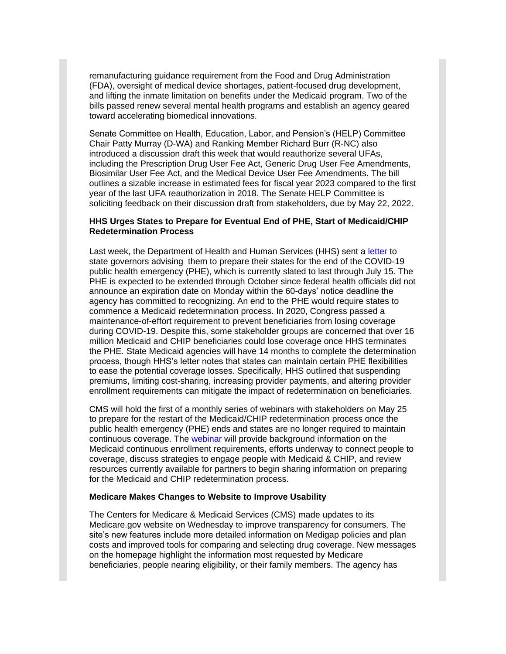remanufacturing guidance requirement from the Food and Drug Administration (FDA), oversight of medical device shortages, patient-focused drug development, and lifting the inmate limitation on benefits under the Medicaid program. Two of the bills passed renew several mental health programs and establish an agency geared toward accelerating biomedical innovations.

Senate Committee on Health, Education, Labor, and Pension's (HELP) Committee Chair Patty Murray (D-WA) and Ranking Member Richard Burr (R-NC) also introduced a discussion draft this week that would reauthorize several UFAs, including the Prescription Drug User Fee Act, Generic Drug User Fee Amendments, Biosimilar User Fee Act, and the Medical Device User Fee Amendments. The bill outlines a sizable increase in estimated fees for fiscal year 2023 compared to the first year of the last UFA reauthorization in 2018. The Senate HELP Committee is soliciting feedback on their discussion draft from stakeholders, due by May 22, 2022.

#### **HHS Urges States to Prepare for Eventual End of PHE, Start of Medicaid/CHIP Redetermination Process**

Last week, the Department of Health and Human Services (HHS) sent a [letter](http://link.apg.org/c/7/eyJhaSI6Njk4MDUxNDQsImUiOiJncGhpbGxpcHNAYXBnLm9yZyIsInJpIjoiY29udGFjdC03YWMxOTAzZjFkYzVlYTExYTgxMjAwMGQzYTVhMTdlMy1kMDI1ZmZiZDUxOWY0NDI3Yjg1YWNjZTllYWEzMDIwZSIsInJxIjoiMDItYjIyMTQwLTg3NDAwMjg1ZmJkNDRlZWNhYmZhNDIyYmYzMjI3YzQzIiwicGgiOm51bGwsIm0iOmZhbHNlLCJ1aSI6IjMiLCJ1biI6IiIsInUiOiJodHRwczovL3d3dy5tZWRpY2FpZC5nb3YvcmVzb3VyY2VzLWZvci1zdGF0ZXMvZG93bmxvYWRzL3Vud2luZGluZy1nb3YtbHRyLTA1MTAyMDIyLnBkZj9fY2xkZWU9UHRZckZuYkh6OXVsZV9TejdrVGtaMWNuMHdqbjJnS24ycUJqLU9aWHJDb3dMQUo5Q3YyeW84NUtsUU5HNWNHZyZyZWNpcGllbnRpZD1jb250YWN0LTdhYzE5MDNmMWRjNWVhMTFhODEyMDAwZDNhNWExN2UzLWQwMjVmZmJkNTE5ZjQ0MjdiODVhY2NlOWVhYTMwMjBlJmVzaWQ9N2M3ZTYxMTAtNGRkOC1lYzExLWE3YjUtMDAyMjQ4MDRkN2Q2In0/LnBLjG6qPtygqa5hOwAjiw) to state governors advising them to prepare their states for the end of the COVID-19 public health emergency (PHE), which is currently slated to last through July 15. The PHE is expected to be extended through October since federal health officials did not announce an expiration date on Monday within the 60-days' notice deadline the agency has committed to recognizing. An end to the PHE would require states to commence a Medicaid redetermination process. In 2020, Congress passed a maintenance-of-effort requirement to prevent beneficiaries from losing coverage during COVID-19. Despite this, some stakeholder groups are concerned that over 16 million Medicaid and CHIP beneficiaries could lose coverage once HHS terminates the PHE. State Medicaid agencies will have 14 months to complete the determination process, though HHS's letter notes that states can maintain certain PHE flexibilities to ease the potential coverage losses. Specifically, HHS outlined that suspending premiums, limiting cost-sharing, increasing provider payments, and altering provider enrollment requirements can mitigate the impact of redetermination on beneficiaries.

CMS will hold the first of a monthly series of webinars with stakeholders on May 25 to prepare for the restart of the Medicaid/CHIP redetermination process once the public health emergency (PHE) ends and states are no longer required to maintain continuous coverage. The [webinar](http://link.apg.org/c/7/eyJhaSI6Njk4MDUxNDQsImUiOiJncGhpbGxpcHNAYXBnLm9yZyIsInJpIjoiY29udGFjdC03YWMxOTAzZjFkYzVlYTExYTgxMjAwMGQzYTVhMTdlMy1kMDI1ZmZiZDUxOWY0NDI3Yjg1YWNjZTllYWEzMDIwZSIsInJxIjoiMDItYjIyMTQwLTg3NDAwMjg1ZmJkNDRlZWNhYmZhNDIyYmYzMjI3YzQzIiwicGgiOm51bGwsIm0iOmZhbHNlLCJ1aSI6IjQiLCJ1biI6IiIsInUiOiJodHRwczovL2Ntcy56b29tZ292LmNvbS93ZWJpbmFyL3JlZ2lzdGVyL1dOX3FtYTVBdnlCUVdDVEIwdmJORjNsVEE_X2NsZGVlPVB0WXJGbmJIejl1bGVfU3o3a1RrWjFjbjB3am4yZ0tuMnFCai1PWlhyQ293TEFKOUN2MnlvODVLbFFORzVjR2cmcmVjaXBpZW50aWQ9Y29udGFjdC03YWMxOTAzZjFkYzVlYTExYTgxMjAwMGQzYTVhMTdlMy1kMDI1ZmZiZDUxOWY0NDI3Yjg1YWNjZTllYWEzMDIwZSZlc2lkPTdjN2U2MTEwLTRkZDgtZWMxMS1hN2I1LTAwMjI0ODA0ZDdkNiJ9/vl2GnxYLr_X7XvYkEtzeJw) will provide background information on the Medicaid continuous enrollment requirements, efforts underway to connect people to coverage, discuss strategies to engage people with Medicaid & CHIP, and review resources currently available for partners to begin sharing information on preparing for the Medicaid and CHIP redetermination process.

#### **Medicare Makes Changes to Website to Improve Usability**

The Centers for Medicare & Medicaid Services (CMS) made updates to its Medicare.gov website on Wednesday to improve transparency for consumers. The site's new features include more detailed information on Medigap policies and plan costs and improved tools for comparing and selecting drug coverage. New messages on the homepage highlight the information most requested by Medicare beneficiaries, people nearing eligibility, or their family members. The agency has